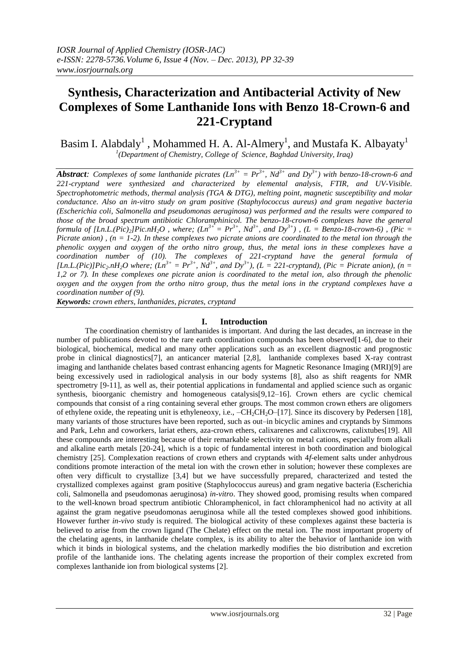# **Synthesis, Characterization and Antibacterial Activity of New Complexes of Some Lanthanide Ions with Benzo 18-Crown-6 and 221-Cryptand**

Basim I. Alabdaly $^1$  , Mohammed H. A. Al-Almery<sup>1</sup>, and Mustafa K. Albayaty<sup>1</sup> *1 (Department of Chemistry, College of Science, Baghdad University, Iraq)*

*Abstract: Complexes of some lanthanide picrates (Ln<sup>3+</sup> = Pr<sup>3+</sup>, Nd<sup>3+</sup> and Dy<sup>3+</sup>) with benzo-18-crown-6 and 221-cryptand were synthesized and characterized by elemental analysis, FTIR, and UV-Visible. Spectrophotometric methods, thermal analysis (TGA & DTG), melting point, magnetic susceptibility and molar conductance. Also an in-vitro study on gram positive (Staphylococcus aureus) and gram negative bacteria (Escherichia coli, Salmonella and pseudomonas aeruginosa) was performed and the results were compared to those of the broad spectrum antibiotic Chloramphinicol. The benzo-18-crown-6 complexes have the general formula of [Ln.L.(Pic)*<sub>2</sub>*]Pic.nH*<sub>2</sub>*O*, where;  $(Ln^{3+} = Pr^{3+}$ ,  $Nd^{3+}$ , and  $Dy^{3+}$ ),  $(L = Benzo-18\text{-}crown-6)$ , (Pic = *Picrate anion) , (n = 1-2). In these complexes two picrate anions are coordinated to the metal ion through the phenolic oxygen and oxygen of the ortho nitro group, thus, the metal ions in these complexes have a coordination number of (10). The complexes of 221-cryptand have the general formula of [Ln.L.(Pic)]Pic<sub>2</sub>.nH<sub>2</sub>O where; (Ln<sup>3+</sup> = Pr<sup>3+</sup>, Nd<sup>3+</sup>, and Dy<sup>3+</sup>), (L = 221-cryptand), (Pic = Picrate anion), (n = 1,2 or 7). In these complexes one picrate anion is coordinated to the metal ion, also through the phenolic oxygen and the oxygen from the ortho nitro group, thus the metal ions in the cryptand complexes have a coordination number of (9).*

*Keywords: crown ethers, lanthanides, picrates, cryptand*

## **I. Introduction**

The coordination chemistry of lanthanides is important. And during the last decades, an increase in the number of publications devoted to the rare earth coordination compounds has been observed[1-6], due to their biological, biochemical, medical and many other applications such as an excellent diagnostic and prognostic probe in clinical diagnostics[7], an anticancer material [2,8], lanthanide complexes based X-ray contrast imaging and lanthanide chelates based contrast enhancing agents for Magnetic Resonance Imaging (MRI)[9] are being excessively used in radiological analysis in our body systems [8], also as shift reagents for NMR spectrometry [9-11], as well as, their potential applications in fundamental and applied science such as organic synthesis, bioorganic chemistry and homogeneous catalysis[9,12–16]. Crown ethers are cyclic chemical compounds that consist of a ring containing several ether groups. The most common crown ethers are oligomers of ethylene oxide, the repeating unit is ethyleneoxy, i.e.,  $-CH_2CH_2O-[17]$ . Since its discovery by Pedersen [18], many variants of those structures have been reported, such as out–in bicyclic amines and cryptands by Simmons and Park, Lehn and coworkers, lariat ethers, aza-crown ethers, calixarenes and calixcrowns, calixtubes[19]. All these compounds are interesting because of their remarkable selectivity on metal cations, especially from alkali and alkaline earth metals [20-24], which is a topic of fundamental interest in both coordination and biological chemistry [25]. Complexation reactions of crown ethers and cryptands with 4*f*-element salts under anhydrous conditions promote interaction of the metal ion with the crown ether in solution; however these complexes are often very difficult to crystallize [3,4] but we have successfully prepared, characterized and tested the crystallized complexes against gram positive (Staphylococcus aureus) and gram negative bacteria (Escherichia coli, Salmonella and pseudomonas aeruginosa) *in-vitro*. They showed good, promising results when compared to the well-known broad spectrum antibiotic Chloramphenicol, in fact chloramphenicol had no activity at all against the gram negative pseudomonas aeruginosa while all the tested complexes showed good inhibitions. However further *in-vivo* study is required. The biological activity of these complexes against these bacteria is believed to arise from the crown ligand (The Chelate) effect on the metal ion. The most important property of the chelating agents, in lanthanide chelate complex, is its ability to alter the behavior of lanthanide ion with which it binds in biological systems, and the chelation markedly modifies the bio distribution and excretion profile of the lanthanide ions. The chelating agents increase the proportion of their complex excreted from complexes lanthanide ion from biological systems [2].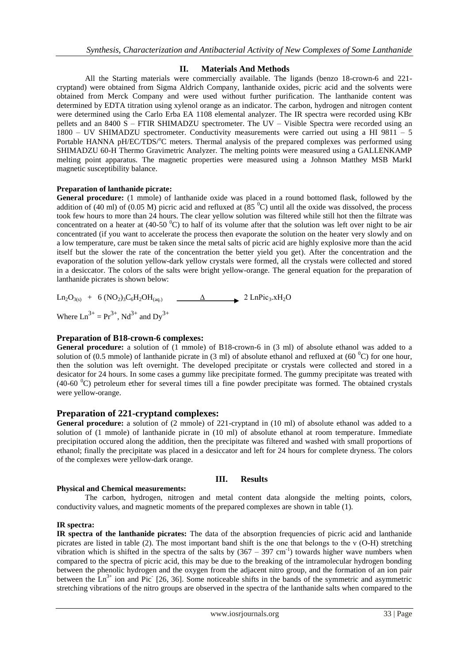# **II. Materials And Methods**

All the Starting materials were commercially available. The ligands (benzo 18-crown-6 and 221 cryptand) were obtained from Sigma Aldrich Company, lanthanide oxides, picric acid and the solvents were obtained from Merck Company and were used without further purification. The lanthanide content was determined by EDTA titration using xylenol orange as an indicator. The carbon, hydrogen and nitrogen content were determined using the Carlo Erba EA 1108 elemental analyzer. The IR spectra were recorded using KBr pellets and an 8400 S – FTIR SHIMADZU spectrometer. The UV – Visible Spectra were recorded using an 1800 – UV SHIMADZU spectrometer. Conductivity measurements were carried out using a HI 9811 – 5 Portable HANNA pH/EC/TDS/<sup>o</sup>C meters. Thermal analysis of the prepared complexes was performed using SHIMADZU 60-H Thermo Gravimetric Analyzer. The melting points were measured using a GALLENKAMP melting point apparatus. The magnetic properties were measured using a Johnson Matthey MSB MarkI magnetic susceptibility balance.

# **Preparation of lanthanide picrate:**

**General procedure:** (1 mmole) of lanthanide oxide was placed in a round bottomed flask, followed by the addition of (40 ml) of (0.05 M) picric acid and refluxed at (85  $^{\circ}$ C) until all the oxide was dissolved, the process took few hours to more than 24 hours. The clear yellow solution was filtered while still hot then the filtrate was concentrated on a heater at (40-50  $^{\circ}$ C) to half of its volume after that the solution was left over night to be air concentrated (if you want to accelerate the process then evaporate the solution on the heater very slowly and on a low temperature, care must be taken since the metal salts of picric acid are highly explosive more than the acid itself but the slower the rate of the concentration the better yield you get). After the concentration and the evaporation of the solution yellow-dark yellow crystals were formed, all the crystals were collected and stored in a desiccator. The colors of the salts were bright yellow-orange. The general equation for the preparation of lanthanide picrates is shown below:

 $\text{Ln}_2\text{O}_{3(s)} + 6 \text{ (NO}_2) \cdot \text{C}_6\text{H}_2\text{OH}_{(a_0)}$   $\Delta$  2 LnPic<sub>3</sub>.xH<sub>2</sub>O Where  $Ln^{3+} = Pr^{3+}$ ,  $Nd^{3+}$  and  $Dv^{3+}$ 

# **Preparation of B18-crown-6 complexes:**

**General procedure:** a solution of (1 mmole) of B18-crown-6 in (3 ml) of absolute ethanol was added to a solution of (0.5 mmole) of lanthanide picrate in (3 ml) of absolute ethanol and refluxed at (60  $^{\circ}$ C) for one hour, then the solution was left overnight. The developed precipitate or crystals were collected and stored in a desicator for 24 hours. In some cases a gummy like precipitate formed. The gummy precipitate was treated with (40-60 <sup>0</sup>C) petroleum ether for several times till a fine powder precipitate was formed. The obtained crystals were yellow-orange.

# **Preparation of 221-cryptand complexes:**

General procedure: a solution of (2 mmole) of 221-cryptand in (10 ml) of absolute ethanol was added to a solution of (1 mmole) of lanthanide picrate in (10 ml) of absolute ethanol at room temperature. Immediate precipitation occured along the addition, then the precipitate was filtered and washed with small proportions of ethanol; finally the precipitate was placed in a desiccator and left for 24 hours for complete dryness. The colors of the complexes were yellow-dark orange.

#### **III. Results**

#### **Physical and Chemical measurements:**

The carbon, hydrogen, nitrogen and metal content data alongside the melting points, colors, conductivity values, and magnetic moments of the prepared complexes are shown in table (1).

#### **IR spectra:**

**IR spectra of the lanthanide picrates:** The data of the absorption frequencies of picric acid and lanthanide picrates are listed in table (2). The most important band shift is the one that belongs to the ν (O-H) stretching vibration which is shifted in the spectra of the salts by  $(367 - 397 \text{ cm}^{-1})$  towards higher wave numbers when compared to the spectra of picric acid, this may be due to the breaking of the intramolecular hydrogen bonding between the phenolic hydrogen and the oxygen from the adjacent nitro group, and the formation of an ion pair between the  $\text{Ln}^{3+}$  ion and Pic<sup>-</sup> [26, 36]. Some noticeable shifts in the bands of the symmetric and asymmetric stretching vibrations of the nitro groups are observed in the spectra of the lanthanide salts when compared to the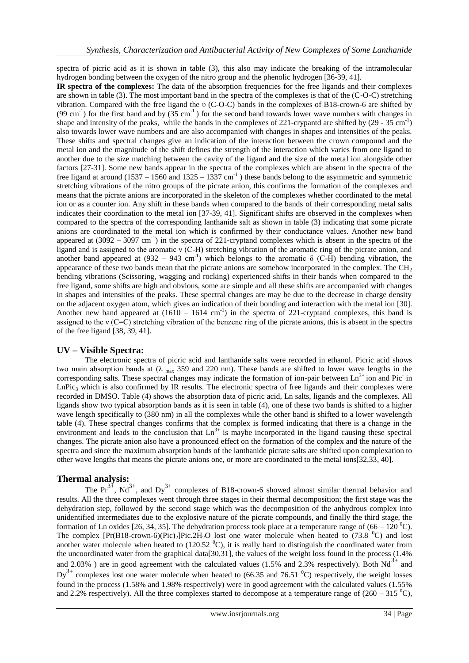spectra of picric acid as it is shown in table (3), this also may indicate the breaking of the intramolecular hydrogen bonding between the oxygen of the nitro group and the phenolic hydrogen [36-39, 41].

**IR spectra of the complexes:** The data of the absorption frequencies for the free ligands and their complexes are shown in table (3). The most important band in the spectra of the complexes is that of the (C-O-C) stretching vibration. Compared with the free ligand the  $\upsilon$  (C-O-C) bands in the complexes of B18-crown-6 are shifted by (99 cm<sup>-1</sup>) for the first band and by  $(35 \text{ cm}^{-1})$  for the second band towards lower wave numbers with changes in shape and intensity of the peaks, while the bands in the complexes of 221-crypantd are shifted by  $(29 - 35 \text{ cm}^{-1})$ also towards lower wave numbers and are also accompanied with changes in shapes and intensities of the peaks. These shifts and spectral changes give an indication of the interaction between the crown compound and the metal ion and the magnitude of the shift defines the strength of the interaction which varies from one ligand to another due to the size matching between the cavity of the ligand and the size of the metal ion alongside other factors [27-31]. Some new bands appear in the spectra of the complexes which are absent in the spectra of the free ligand at around (1537 – 1560 and 1325 – 1337 cm<sup>-1</sup>) these bands belong to the asymmetric and symmetric stretching vibrations of the nitro groups of the picrate anion, this confirms the formation of the complexes and means that the picrate anions are incorporated in the skeleton of the complexes whether coordinated to the metal ion or as a counter ion. Any shift in these bands when compared to the bands of their corresponding metal salts indicates their coordination to the metal ion [37-39, 41]. Significant shifts are observed in the complexes when compared to the spectra of the corresponding lanthanide salt as shown in table (3) indicating that some picrate anions are coordinated to the metal ion which is confirmed by their conductance values. Another new band appeared at  $(3092 - 3097 \text{ cm}^{-1})$  in the spectra of 221-cryptand complexes which is absent in the spectra of the ligand and is assigned to the aromatic ν (C-H) stretching vibration of the aromatic ring of the picrate anion, and another band appeared at  $(932 - 943 \text{ cm}^{-1})$  which belongs to the aromatic  $\delta$  (C-H) bending vibration, the appearance of these two bands mean that the picrate anions are somehow incorporated in the complex. The  $CH<sub>2</sub>$ bending vibrations (Scissoring, wagging and rocking) experienced shifts in their bands when compared to the free ligand, some shifts are high and obvious, some are simple and all these shifts are accompanied with changes in shapes and intensities of the peaks. These spectral changes are may be due to the decrease in charge density on the adjacent oxygen atom, which gives an indication of their bonding and interaction with the metal ion [30]. Another new band appeared at  $(1610 - 1614 \text{ cm}^{-1})$  in the spectra of 221-cryptand complexes, this band is assigned to the ν (C=C) stretching vibration of the benzene ring of the picrate anions, this is absent in the spectra of the free ligand [38, 39, 41].

# **UV – Visible Spectra:**

The electronic spectra of picric acid and lanthanide salts were recorded in ethanol. Picric acid shows two main absorption bands at  $(\lambda_{max} 359$  and 220 nm). These bands are shifted to lower wave lengths in the corresponding salts. These spectral changes may indicate the formation of ion-pair between  $\text{Ln}^{3+}$  ion and Pic<sup>-</sup> in  $LnPic<sub>3</sub>$  which is also confirmed by IR results. The electronic spectra of free ligands and their complexes were recorded in DMSO. Table (4) shows the absorption data of picric acid, Ln salts, ligands and the complexes. All ligands show two typical absorption bands as it is seen in table (4), one of these two bands is shifted to a higher wave length specifically to (380 nm) in all the complexes while the other band is shifted to a lower wavelength table (4). These spectral changes confirms that the complex is formed indicating that there is a change in the environment and leads to the conclusion that  $\text{Ln}^{3+}$  is maybe incorporated in the ligand causing these spectral changes. The picrate anion also have a pronounced effect on the formation of the complex and the nature of the spectra and since the maximum absorption bands of the lanthanide picrate salts are shifted upon complexation to other wave lengths that means the picrate anions one, or more are coordinated to the metal ions[32,33, 40].

# **Thermal analysis:**

The  $Pr^{3+}$ , Nd<sup>3+</sup>, and Dy<sup>3+</sup> complexes of B18-crown-6 showed almost similar thermal behavior and results. All the three complexes went through three stages in their thermal decomposition; the first stage was the dehydration step, followed by the second stage which was the decomposition of the anhydrous complex into unidentified intermediates due to the explosive nature of the picrate compounds, and finally the third stage, the formation of Ln oxides [26, 34, 35]. The dehydration process took place at a temperature range of (66 – 120  $^{\circ}$ C). The complex  $[Pr(B18-crown-6)(Pic)_2]Pic.2H_2O$  lost one water molecule when heated to (73.8 <sup>0</sup>C) and lost another water molecule when heated to (120.52  $^{\circ}$ C), it is really hard to distinguish the coordinated water from the uncoordinated water from the graphical data[30,31], the values of the weight loss found in the process (1.4% and 2.03%) are in good agreement with the calculated values (1.5% and 2.3% respectively). Both  $Nd^{3+}$  and  $Dv^{3+}$  complexes lost one water molecule when heated to (66.35 and 76.51  $^{\circ}$ C) respectively, the weight losses found in the process (1.58% and 1.98% respectively) were in good agreement with the calculated values (1.55% and 2.2% respectively). All the three complexes started to decompose at a temperature range of (260 – 315  $^{\circ}$ C),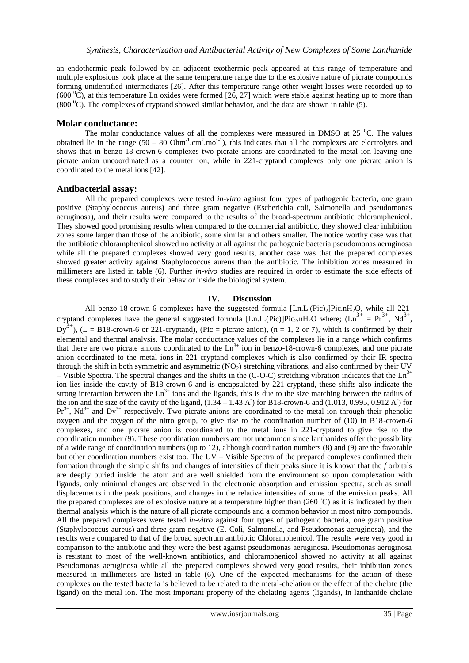an endothermic peak followed by an adjacent exothermic peak appeared at this range of temperature and multiple explosions took place at the same temperature range due to the explosive nature of picrate compounds forming unidentified intermediates [26]. After this temperature range other weight losses were recorded up to (600  $^{\circ}$ C), at this temperature Ln oxides were formed [26, 27] which were stable against heating up to more than (800 ${}^{0}$ C). The complexes of cryptand showed similar behavior, and the data are shown in table (5).

# **Molar conductance:**

The molar conductance values of all the complexes were measured in DMSO at  $25\text{ °C}$ . The values obtained lie in the range  $(50 - 80 \text{ Ohm}^{-1} \text{cm}^2 \text{/mol}^{-1})$ , this indicates that all the complexes are electrolytes and shows that in benzo-18-crown-6 complexes two picrate anions are coordinated to the metal ion leaving one picrate anion uncoordinated as a counter ion, while in 221-cryptand complexes only one picrate anion is coordinated to the metal ions [42].

## **Antibacterial assay:**

All the prepared complexes were tested *in-vitro* against four types of pathogenic bacteria, one gram positive (Staphylococcus aureus**)** and three gram negative (Escherichia coli, Salmonella and pseudomonas aeruginosa), and their results were compared to the results of the broad-spectrum antibiotic chloramphenicol. They showed good promising results when compared to the commercial antibiotic, they showed clear inhibition zones some larger than those of the antibiotic, some similar and others smaller. The notice worthy case was that the antibiotic chloramphenicol showed no activity at all against the pathogenic bacteria pseudomonas aeruginosa while all the prepared complexes showed very good results, another case was that the prepared complexes showed greater activity against Staphylococcus aureus than the antibiotic. The inhibition zones measured in millimeters are listed in table (6). Further *in-vivo* studies are required in order to estimate the side effects of these complexes and to study their behavior inside the biological system.

## **IV. Discussion**

All benzo-18-crown-6 complexes have the suggested formula  $[Ln.L.(Pic)_2]Pic.nH_2O$ , while all 221cryptand complexes have the general suggested formula [Ln.L.(Pic)]Pic<sub>2</sub>.nH<sub>2</sub>O where;  $(Ln^{3+} = Pr^{3+}, Nd^{3+},$  $Dy^{3+}$ ), (L = B18-crown-6 or 221-cryptand), (Pic = picrate anion), (n = 1, 2 or 7), which is confirmed by their elemental and thermal analysis. The molar conductance values of the complexes lie in a range which confirms that there are two picrate anions coordinated to the  $Ln<sup>3+</sup>$  ion in benzo-18-crown-6 complexes, and one picrate anion coordinated to the metal ions in 221-cryptand complexes which is also confirmed by their IR spectra through the shift in both symmetric and asymmetric  $(NO<sub>2</sub>)$  stretching vibrations, and also confirmed by their UV – Visible Spectra. The spectral changes and the shifts in the  $(C-O-C)$  stretching vibration indicates that the  $Ln^{3+}$ ion lies inside the cavity of B18-crown-6 and is encapsulated by 221-cryptand, these shifts also indicate the strong interaction between the  $Ln<sup>3+</sup>$  ions and the ligands, this is due to the size matching between the radius of the ion and the size of the cavity of the ligand,  $(1.34 - 1.43 \text{ A}^{\circ})$  for B18-crown-6 and  $(1.013, 0.995, 0.912 \text{ A}^{\circ})$  for  $Pr<sup>3+</sup>$ , Nd<sup>3+</sup> and Dy<sup>3+</sup> respectively. Two picrate anions are coordinated to the metal ion through their phenolic oxygen and the oxygen of the nitro group, to give rise to the coordination number of (10) in B18-crown-6 complexes, and one picrate anion is coordinated to the metal ions in 221-cryptand to give rise to the coordination number (9). These coordination numbers are not uncommon since lanthanides offer the possibility of a wide range of coordination numbers (up to 12), although coordination numbers (8) and (9) are the favorable but other coordination numbers exist too. The UV – Visible Spectra of the prepared complexes confirmed their formation through the simple shifts and changes of intensities of their peaks since it is known that the *f* orbitals are deeply buried inside the atom and are well shielded from the environment so upon complexation with ligands, only minimal changes are observed in the electronic absorption and emission spectra, such as small displacements in the peak positions, and changes in the relative intensities of some of the emission peaks. All the prepared complexes are of explosive nature at a temperature higher than (260 °C) as it is indicated by their thermal analysis which is the nature of all picrate compounds and a common behavior in most nitro compounds. All the prepared complexes were tested *in-vitro* against four types of pathogenic bacteria, one gram positive (Staphylococcus aureus) and three gram negative (E. Coli, Salmonella, and Pseudomonas aeruginosa), and the results were compared to that of the broad spectrum antibiotic Chloramphenicol. The results were very good in comparison to the antibiotic and they were the best against pseudomonas aeruginosa. Pseudomonas aeruginosa is resistant to most of the well-known antibiotics, and chloramphenicol showed no activity at all against Pseudomonas aeruginosa while all the prepared complexes showed very good results, their inhibition zones measured in millimeters are listed in table (6). One of the expected mechanisms for the action of these complexes on the tested bacteria is believed to be related to the metal-chelation or the effect of the chelate (the ligand) on the metal ion. The most important property of the chelating agents (ligands), in lanthanide chelate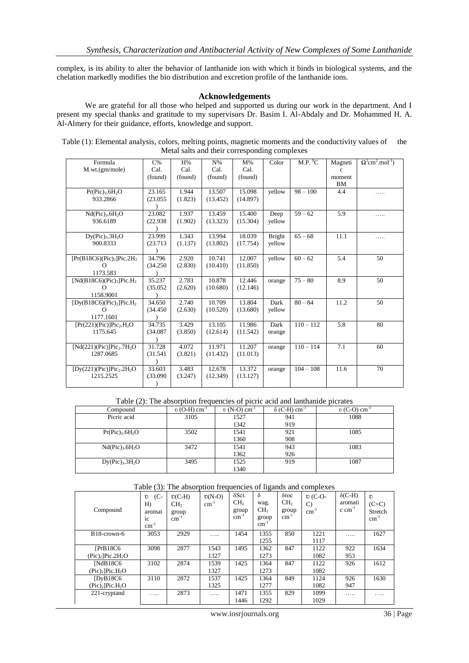complex, is its ability to alter the behavior of lanthanide ion with which it binds in biological systems, and the chelation markedly modifies the bio distribution and excretion profile of the lanthanide ions.

## **Acknowledgements**

We are grateful for all those who helped and supported us during our work in the department. And I present my special thanks and gratitude to my supervisors Dr. Basim I. Al-Abdaly and Dr. Mohammed H. A. Al-Almery for their guidance, efforts, knowledge and support.

| Table (1): Elemental analysis, colors, melting points, magnetic moments and the conductivity values of the |  |
|------------------------------------------------------------------------------------------------------------|--|
| Metal salts and their corresponding complexes                                                              |  |

| Formula                                          | $C\%$    | H%      | $N\%$    | $M\%$    | Color  | M.P. O C    | Magneti      | $\Omega^1$ cm <sup>2</sup> .mol <sup>-1</sup> ) |
|--------------------------------------------------|----------|---------|----------|----------|--------|-------------|--------------|-------------------------------------------------|
| M.wt.(gm/mole)                                   | Cal.     | Cal.    | Cal.     | Cal.     |        |             | $\mathbf{c}$ |                                                 |
|                                                  | (found)  | (found) | (found)  | (found)  |        |             | moment       |                                                 |
|                                                  |          |         |          |          |        |             | <b>BM</b>    |                                                 |
| $Pr(Pic)$ <sub>3</sub> .6H <sub>2</sub> O        | 23.165   | 1.944   | 13.507   | 15.098   | vellow | $98 - 100$  | 4.4          | .                                               |
| 933.2866                                         | (23.055) | (1.823) | (13.452) | (14.897) |        |             |              |                                                 |
|                                                  |          |         |          |          |        |             |              |                                                 |
| $Nd(Pic)$ <sub>3</sub> .6H <sub>2</sub> O        | 23.082   | 1.937   | 13.459   | 15.400   | Deep   | $59 - 62$   | 5.9          | .                                               |
| 936.6189                                         | (22.938) | (1.902) | (13.323) | (15.304) | yellow |             |              |                                                 |
|                                                  |          |         |          |          |        |             |              |                                                 |
| $Dy(Pic)$ <sub>3</sub> .3H <sub>2</sub> O        | 23.999   | 1.343   | 13.994   | 18.039   | Bright | $65 - 68$   | 11.1         | .                                               |
| 900.8333                                         | (23.713) | (1.137) | (13.802) | (17.754) | yellow |             |              |                                                 |
|                                                  |          |         |          |          |        |             |              |                                                 |
| $[Pr(B18C6)(Pic)2] Pic.2H2$                      | 34.796   | 2.920   | 10.741   | 12.007   | vellow | $60 - 62$   | 5.4          | 50                                              |
| Ω                                                | (34.250) | (2.830) | (10.410) | (11.850) |        |             |              |                                                 |
| 1173.583                                         |          |         |          |          |        |             |              |                                                 |
| [Nd(B18C6)(Pic) <sub>2</sub> ]Pic.H <sub>2</sub> | 35.237   | 2.783   | 10.878   | 12.446   | orange | $75 - 80$   | 8.9          | 50                                              |
| $\Omega$                                         | (35.052) | (2.620) | (10.680) | (12.146) |        |             |              |                                                 |
| 1158.9001                                        |          |         |          |          |        |             |              |                                                 |
| [Dy(B18C6)(Pic) <sub>2</sub> ]Pic.H <sub>2</sub> | 34.650   | 2.740   | 10.709   | 13.804   | Dark   | $80 - 84$   | 11.2         | 50                                              |
| $\Omega$                                         | (34.450) | (2.630) | (10.520) | (13.680) | vellow |             |              |                                                 |
| 1177.1601                                        |          |         |          |          |        |             |              |                                                 |
| $[Pr(221)(Pic)]Pic2.H2O$                         | 34.735   | 3.429   | 13.105   | 11.986   | Dark   | $110 - 112$ | 5.8          | 80                                              |
| 1175.645                                         | (34.087) | (3.850) | (12.614) | (11.542) | orange |             |              |                                                 |
|                                                  |          |         |          |          |        |             |              |                                                 |
| $[Nd(221)(Pic)]Pic_2.7H_2O$                      | 31.728   | 4.072   | 11.971   | 11.207   | orange | $110 - 114$ | 7.1          | 60                                              |
| 1287.0685                                        | (31.541) | (3.821) | (11.432) | (11.013) |        |             |              |                                                 |
|                                                  |          |         |          |          |        |             |              |                                                 |
| $[Dy(221)(Pic)]Pic2.2H2O$                        | 33.603   | 3.483   | 12.678   | 13.372   | orange | $104 - 108$ | 11.6         | 70                                              |
| 1215.2525                                        | (33.090) | (3.247) | (12.349) | (13.127) |        |             |              |                                                 |
|                                                  |          |         |          |          |        |             |              |                                                 |

Table (2): The absorption frequencies of picric acid and lanthanide picrates

| Compound                                  | $\upsilon$ (O-H) cm <sup>-1</sup> | $v(N-O)$ cm <sup>-1</sup> | $\delta$ (C-H) cm <sup>-1</sup> | $v(C-O)$ cm <sup>-1</sup> |
|-------------------------------------------|-----------------------------------|---------------------------|---------------------------------|---------------------------|
| Picric acid                               | 3105                              | 1527                      | 941                             | 1088                      |
|                                           |                                   | 1342                      | 919                             |                           |
| $Pr(Pic)$ <sub>3</sub> .6H <sub>2</sub> O | 3502                              | 1541                      | 921                             | 1085                      |
|                                           |                                   | 1360                      | 908                             |                           |
| $Nd(Pic)$ <sub>3</sub> .6H <sub>2</sub> O | 3472                              | 1541                      | 943                             | 1083                      |
|                                           |                                   | 1362                      | 926                             |                           |
| Dy(Pic) <sub>3</sub> .3H <sub>2</sub> O   | 3495                              | 1525                      | 919                             | 1087                      |
|                                           |                                   | 1340                      |                                 |                           |

Table (3): The absorption frequencies of ligands and complexes

| Compound                        | $(C-$<br>$\upsilon$<br>H<br>aromat<br>ic<br>$cm^{-1}$ | $U(C-H)$<br>CH <sub>2</sub><br>group<br>$cm^{-1}$ | $U(N-O)$<br>$cm^{-1}$ | $\delta$ Sci.<br>CH <sub>2</sub><br>group<br>$cm^{-1}$ | $\delta$<br>wag.<br>CH <sub>2</sub><br>group<br>$cm^{-1}$ | $\delta$ roc<br>CH <sub>2</sub><br>group<br>$cm^{-1}$ | $U(C-O-$<br>$\mathcal{C}$<br>$cm^{-1}$ | $\delta$ (C-H)<br>aromati<br>$\rm c \ cm^{-1}$ | $\mathbf{I}$<br>$(C=C)$<br>Stretch<br>$cm^{-1}$ |
|---------------------------------|-------------------------------------------------------|---------------------------------------------------|-----------------------|--------------------------------------------------------|-----------------------------------------------------------|-------------------------------------------------------|----------------------------------------|------------------------------------------------|-------------------------------------------------|
| B <sub>18</sub> -crown-6        | 3053                                                  | 2929                                              | .                     | 1454                                                   | 1355<br>1255                                              | 850                                                   | 1221<br>1117                           | .                                              | 1627                                            |
|                                 |                                                       |                                                   |                       |                                                        |                                                           |                                                       |                                        |                                                |                                                 |
| [PrB18C6]                       | 3098                                                  | 2877                                              | 1543                  | 1495                                                   | 1362                                                      | 847                                                   | 1122                                   | 922                                            | 1634                                            |
| $(Pic)$ , Pic. $2H2O$           |                                                       |                                                   | 1327                  |                                                        | 1273                                                      |                                                       | 1082                                   | 953                                            |                                                 |
| [NdB18C6]                       | 3102                                                  | 2874                                              | 1539                  | 1425                                                   | 1364                                                      | 847                                                   | 1122                                   | 926                                            | 1612                                            |
| $(Pic)_2$ ]Pic.H <sub>2</sub> O |                                                       |                                                   | 1327                  |                                                        | 1273                                                      |                                                       | 1082                                   |                                                |                                                 |
| [DvB18C6]                       | 3110                                                  | 2872                                              | 1537                  | 1425                                                   | 1364                                                      | 849                                                   | 1124                                   | 926                                            | 1630                                            |
| $(Pic)_2$ ]Pic.H <sub>2</sub> O |                                                       |                                                   | 1325                  |                                                        | 1277                                                      |                                                       | 1082                                   | 947                                            |                                                 |
| 221-cryptand                    | .                                                     | 2873                                              | .                     | 1471                                                   | 1355                                                      | 829                                                   | 1099                                   | .                                              | .                                               |
|                                 |                                                       |                                                   |                       | 1446                                                   | 1292                                                      |                                                       | 1029                                   |                                                |                                                 |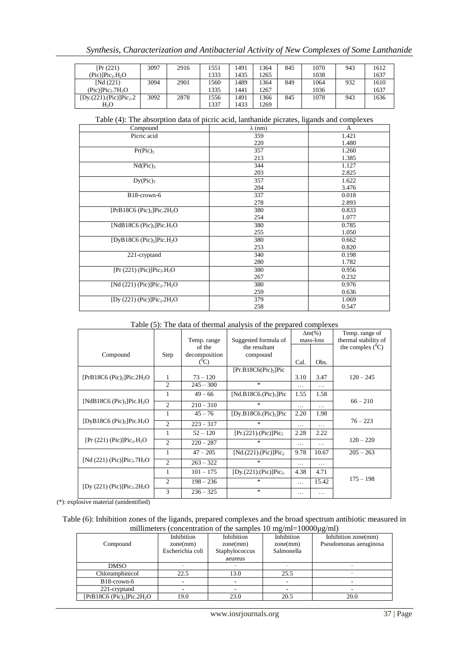| [Pr(221)]                                | 3097 | 2916 | 551  | 1491 | 364  | 845 | 1070 | 943 | 1612 |
|------------------------------------------|------|------|------|------|------|-----|------|-----|------|
| (Pic)]Pic <sub>2</sub> .H <sub>2</sub> O |      |      | 1333 | 1435 | 1265 |     | 1038 |     | 1637 |
| [Nd (221)]                               | 3094 | 2901 | 1560 | 1489 | !364 | 849 | 1064 | 932 | 1610 |
| $(Pic)$ ] $Pic_2$ .7 $H_2O$              |      |      | 1335 | 1441 | 267  |     | 1036 |     | 1637 |
| [Dy.(221).(Pic)]Pic <sub>2</sub> .2      | 3092 | 2878 | 1556 | 1491 | '366 | 845 | 1078 | 943 | 1636 |
| H <sub>2</sub> O                         |      |      | 337  | 1433 | 1269 |     |      |     |      |

Table (4): The absorption data of picric acid, lanthanide picrates, ligands and complexes

| Compound                                              | $\lambda$ (nm) | A     |
|-------------------------------------------------------|----------------|-------|
| Picric acid                                           | 359            | 1.421 |
|                                                       | 220            | 1.480 |
| $Pr(Pic)_3$                                           | 357            | 1.260 |
|                                                       | 213            | 1.385 |
| $Nd(Pic)_3$                                           | 344            | 1.127 |
|                                                       | 203            | 2.825 |
| Dy(Pic) <sub>3</sub>                                  | 357            | 1.622 |
|                                                       | 204            | 3.476 |
| B18-crown-6                                           | 337            | 0.018 |
|                                                       | 278            | 2.893 |
| [PrB18C6 (Pic) <sub>2</sub> ]Pic.2H <sub>2</sub> O    | 380            | 0.833 |
|                                                       | 254            | 1.077 |
| [NdB18C6 (Pic) <sub>2</sub> ]Pic.H <sub>2</sub> O     | 380            | 0.785 |
|                                                       | 255            | 1.050 |
| [DyB18C6 (Pic) <sub>2</sub> ]Pic.H <sub>2</sub> O     | 380            | 0.662 |
|                                                       | 253            | 0.820 |
| 221-cryptand                                          | 340            | 0.198 |
|                                                       | 280            | 1.782 |
| $[Pr (221) (Pic)] Pic2. H2O$                          | 380            | 0.956 |
|                                                       | 267            | 0.232 |
| [Nd $(221)$ (Pic)]Pic <sub>2</sub> .7H <sub>2</sub> O | 380            | 0.976 |
|                                                       | 259            | 0.636 |
| [Dy $(221)$ (Pic)]Pic <sub>2</sub> .2H <sub>2</sub> O | 379            | 1.069 |
|                                                       | 258            | 0.547 |

#### Table (5): The data of thermal analysis of the prepared complexes

|                                                       |                        |               |                                   |          | $\Delta m$ (%) | Temp. range of       |
|-------------------------------------------------------|------------------------|---------------|-----------------------------------|----------|----------------|----------------------|
|                                                       |                        | Temp. range   | Suggested formula of              |          | mass-loss      | thermal stability of |
|                                                       |                        | of the        | the resultant                     |          |                | the complex $(^0C)$  |
| Compound                                              | Step                   | decomposition | compound                          |          |                |                      |
|                                                       |                        | $(^0C)$       |                                   | Cal.     | Obs.           |                      |
|                                                       |                        |               | [Pr.B18C6(Pic) <sub>2</sub> ]Pic  |          |                |                      |
| [PrB18C6 (Pic),]Pic.2H <sub>2</sub> O                 | 1                      | $73 - 120$    |                                   | 3.10     | 3.47           | $120 - 245$          |
|                                                       | $\overline{c}$         | $245 - 300$   | $\ast$                            | $\cdots$ | $\cdots$       |                      |
|                                                       |                        | $49 - 66$     | [ $Nd.B18C6.(Pic)_2]Pic$          | 1.55     | 1.58           |                      |
| [NdB18C6 (Pic) <sub>2</sub> ]Pic.H <sub>2</sub> O     | $\overline{c}$         | $210 - 310$   | $\ast$                            | .        | .              | $66 - 210$           |
|                                                       |                        | $45 - 76$     | [Dy.B18C6.(Pic) <sub>2</sub> ]Pic | 2.20     | 1.98           |                      |
| [DyB18C6 (Pic) <sub>2</sub> ]Pic.H <sub>2</sub> O     | $\overline{c}$         | $223 - 317$   | $\ast$                            | $\cdots$ | .              | $76 - 223$           |
|                                                       | 1                      | $52 - 120$    | $[Pr.(221).(Pic)]Pic_2$           | 2.28     | 2.22           |                      |
| $[Pr (221) (Pic)] Pic2. H2O$                          | $\mathfrak{D}$         | $220 - 287$   | $\ast$                            | .        | .              | $120 - 220$          |
|                                                       |                        | $47 - 205$    | $[Nd.(221).(Pic)]Pic_2$           | 9.78     | 10.67          | $205 - 263$          |
| [Nd $(221)$ (Pic)]Pic <sub>2</sub> .7H <sub>2</sub> O | $\mathcal{D}_{\alpha}$ | $263 - 322$   | $\ast$                            | .        | .              |                      |
|                                                       | 1                      | $101 - 175$   | $[Dy.(221).(Pic)]Pic_2.$          | 4.38     | 4.71           |                      |
| [Dy $(221)$ (Pic)]Pic <sub>2</sub> .2H <sub>2</sub> O | $\overline{c}$         | $198 - 236$   | $\ast$                            | .        | 15.42          | $175 - 198$          |
|                                                       | 3                      | $236 - 325$   | $\ast$                            | $\cdots$ | .              |                      |

(\*): explosive material (unidentified)

Table (6): Inhibition zones of the ligands, prepared complexes and the broad spectrum antibiotic measured in millimeters (concentration of the samples 10 mg/ml=10000µg/ml)

| Compound                                         | Inhibition<br>zone(mm) | Inhibition<br>zone(mm) | Inhibition<br>zone(mm) | Inhibition zone(mm)<br>Pseudomonas aeruginosa |
|--------------------------------------------------|------------------------|------------------------|------------------------|-----------------------------------------------|
|                                                  | Escherichia coli       | Staphylococcus         | Salmonella             |                                               |
|                                                  |                        | aeureus                |                        |                                               |
| <b>DMSO</b>                                      |                        |                        |                        |                                               |
| Chloramphinicol                                  | 22.5                   | 13.0                   | 25.5                   |                                               |
| B <sub>18</sub> -crown-6                         |                        |                        |                        |                                               |
| 221-cryptand                                     |                        |                        |                        |                                               |
| [ $PrB18C6$ ( $Pic$ ) <sub>2</sub> ] $Pic.2H_2O$ | 19.0                   | 23.0                   | 20.5                   | 20.0                                          |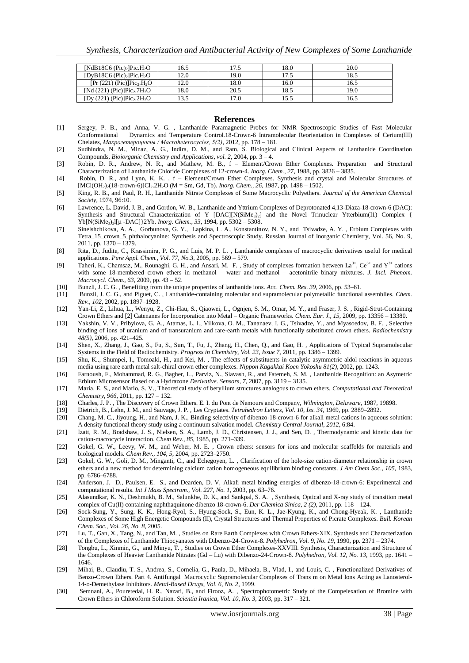| [NdB18C6 (Pic) <sub>2</sub> ]Pic.H <sub>2</sub> O     | 16.5 | l 7.5 | 18.0 | 20.0 |
|-------------------------------------------------------|------|-------|------|------|
| [DyB18C6 (Pic) <sub>2</sub> ]Pic.H <sub>2</sub> O     | 12.0 | 19.0  | 17.5 | 18.5 |
| $[Pr (221) (Pic)] Pic$ , $H_2O$                       | 12.0 | 18.0  | 16.0 | 16.5 |
| [Nd $(221)$ (Pic)]Pic <sub>2</sub> .7H <sub>2</sub> O | 18.0 | 20.5  | 18.5 | 19.0 |
| [Dy $(221)$ (Pic)]Pic <sub>2</sub> .2H <sub>2</sub> O | 3.5  | l 7.0 | 15.5 |      |

#### **References**

- [1] Sergey, P. B., and Anna, V. G. , Lanthanide Paramagnetic Probes for NMR Spectroscopic Studies of Fast Molecular Conformational Dynamics and Temperature Control.18-Crown-6 Intramolecular Reorientation in Complexes of Cerium(III) Chelates, *Макрогетероциклы / Macroheterocycles, 5(2),* 2012, pp. 178 – 181.
- [2] Sudhindra, N. M., Minaz, A. G., Indira, D. M., and Ram, S. Biological and Clinical Aspects of Lanthanide Coordination Compounds, *Bioiorganic Chemistry and Applications, vol. 2*, 2004, pp. 3 – 4.
- [3] Robin, D. R., Andrew, N. R., and Mathew, M. B., f Element/Crown Ether Complexes. Preparation and Structural Characterization of Lanthanide Chloride Complexes of 12-crown-4. *Inorg. Chem., 27*, 1988, pp. 3826 – 3835.
- [4] Robin, D. R., and Lynn, K. K. , f Element/Crown Ether Complexes. Synthesis and crystal and Molecular Structures of [MCl(OH<sub>2</sub>)<sub>2</sub>(18-crown-6)]Cl<sub>2</sub>.2H<sub>2</sub>O (M = Sm, Gd, Tb). *Inorg. Chem., 26*, 1987, pp. 1498 – 1502.
- [5] King, R. B., and Paul, R. H., Lanthanide Nitrate Complexes of Some Macrocyclic Polyethers. *Journal of the American Chemical Society,* 1974, 96:10.
- [6] Lawrence, L. David, J. B., and Gordon, W. B., Lanthanide and Yttrium Complexes of Deprotonated 4,13-Diaza-18-crown-6 (DAC): Synthesis and Structural Characterization of Y [DAC][N(SiMe<sub>3</sub>)<sub>2</sub>] and the Novel Trinuclear Ytterbium(I1) Complex { Yb[N(SiMe3)2l[µ -DAC]}2Yb. *Inorg. Chem., 33,* 1994, pp. 5302 – 5308.
- [7] Sinelshchikova, A. A., Gorbunova, G. Y., Lapkina, L. A., Konstantinov, N. Y., and Tsivadze, A. Y. , Erbium Complexes with Tetra\_15\_crown\_5\_phthalocyanine: Synthesis and Spectroscopic Study. Russian Journal of Inorganic Chemistry, Vol. 56, No. 9, 2011, pp. 1370 – 1379.
- [8] Rita, D., Judite, C., Krassimira, P. G., and Luis, M. P. L. , Lanthanide complexes of macrocyclic derivatives useful for medical applications. *Pure Appl. Chem., Vol. 77, No.3*, 2005, pp. 569 – 579.
- [9] Taheri, K., Chamsaz, M., Rounaghi, G. H., and Ansari, M. F., Study of complexes formation between La<sup>3+</sup>, Ce<sup>3+</sup> and Y<sup>3+</sup> cations with some 18-membered crown ethers in methanol – water and methanol – acetonitrile binary mixtures. *J. Incl. Phenom. Macrocycl. Chem., 63,* 2009, pp. 43 – 52.
- [10] Bunzli, J. C. G. , Benefiting from the unique properties of lanthanide ions. *Acc. Chem. Res. 39,* 2006, pp. 53–61.
- [11] Bunzli, J. C. G., and Piguet, C. , Lanthanide-containing molecular and supramolecular polymetallic functional assemblies. *Chem. Rev., 102,* 2002, pp. 1897–1928.
- [12] Yan-Li, Z., Lihua, L., Wenyu, Z., Chi-Hau, S., Qiaowei, L., Ognjen, S. M., Omar, M. Y., and Fraser, J. S. , Rigid-Strut-Containing Crown Ethers and [2] Catenanes for Incorporation into Metal – Organic Frameworks. *Chem. Eur. J., 15,* 2009, pp. 13356 – 13380.
- [13] Yakshin, V. V., Pribylova, G. A., Atamas, L. I., Vilkova, O. M., Tananaev, I. G., Tsivadze, Y., and Myasoedov, B. F. , Selective binding of ions of uranium and of transuranium and rare-earth metals with functionally substituted crown ethers. *Radiochemistry 48(5),* 2006, pp. 421–425.
- [14] Shen, X., Zhang, J., Gao, S., Fu, S., Sun, T., Fu, J., Zhang, H., Chen, Q., and Gao, H. , Applications of Typical Supramolecular Systems in the Field of Radiochemistry. *Progress in Chemistry, Vol. 23, Issue 7,* 2011, pp. 1386 – 1399.
- [15] Shu, K.., Shumpei, I., Tomoaki, H., and Kei, M. , The effects of substituents in catalytic asymmetric aldol reactions in aqueous media using rare earth metal salt-chiral crown ether complexes. *Nippon Kagakkai Koen Yokoshu 81(2),* 2002, pp. 1243.
- [16] Farnoush, F., Mohammad, R. G., Bagher, L., Parviz, N., Siavash, R., and Fatemeh, S. M. , Lanthanide Recognition: an Asymetric Erbium Microsensor Based on a Hydrazone *Derivative. Sensors, 7,* 2007, pp. 3119 – 3135.
- [17] Maria, E. S., and Mario, S. V., Theoretical study of beryllium structures analogous to crown ethers. *Computational and Theoretical Chemistry, 966,* 2011, pp. 127 – 132.
- [18] Charles, J. P. , The Discovery of Crown Ethers. E. I. du Pont de Nemours and Company, *Wilmington, Delaware*, 1987, 19898.
- [19] [Dietrich,](http://www.sciencedirect.com/science/article/pii/S0040403901883003) B., [Lehn,](http://www.sciencedirect.com/science/article/pii/S0040403901883003) J. M., and [Sauvage,](http://www.sciencedirect.com/science/article/pii/S0040403901883003) J. P. , Les Cryptates. *[Tetrahedron Letters,](http://www.sciencedirect.com/science/journal/00404039) [Vol. 10, Iss. 34](http://www.sciencedirect.com/science/journal/00404039/10/34)*, 1969, pp. 2889–2892.
- [20] Chang, M. C., Jiyoung, H., and Nam, J. K., Binding selectivity of dibenzo-18-crown-6 for alkali metal cations in aqueous solution: A density functional theory study using a continuum salvation model. *Chemistry Central Journal, 2012*, 6:84.
- [21] Izatt, R. M., Bradshaw, J. S., Nielsen, S. A., Lamb, J. D., Christensen, J. J., and Sen, D. , Thermodynamic and kinetic data for cation-macrocycle interaction. *Chem Rev., 85,* 1985, pp. 271–339.
- [22] Gokel, G. W., Leevy, W. M., and Weber, M. E. , Crown ethers: sensors for ions and molecular scaffolds for materials and biological models. *Chem Rev., 104, 5,* 2004, pp. 2723–2750.
- [23] Gokel, G. W., Goli, D. M., Minganti, C., and Echegoyen, L. , Clarification of the hole-size cation-diameter relationship in crown ethers and a new method for determining calcium cation homogeneous equilibrium binding constants. *J Am Chem Soc., 105*, 1983, pp. 6786–6788.
- [24] Anderson, J. D., Paulsen, E. S., and Dearden, D. V, Alkali metal binding energies of dibenzo-18-crown-6: Experimental and computational results. *Int J Mass Spectrom., Vol. 227, No. 1,* 2003, pp. 63–76.
- [25] Alasundkar, K. N., Deshmukh, B. M., Salunkhe, D. K., and Sankpal, S. A. , Synthesis, Optical and X-ray study of transition metal complex of Cu(II) containing naphthaquinone dibenzo 18-crown-6. *Der Chemica Sinica, 2 (2),* 2011, pp. 118 – 124.
- [26] Sock-Sung, Y., Sung, K. K., Hong-Ryol, S., Hyung-Sock, S., Eun, K. L., Jae-Kyung, K., and Chong-Hyeak, K. , Lanthanide Complexes of Some High Energetic Compounds (II), Crystal Structures and Thermal Properties of Picrate Complexes. *Bull. Korean Chem. Soc., Vol. 26, No. 8,* 2005.
- [27] Lu, T., Gan, X., Tang, N., and Tan, M. , Studies on Rare Earth Complexes with Crown Ethers-XIX. Synthesis and Characterization of the Complexes of Lanthanide Thiocyanates with Dibenzo-24-Crown-8. *Polyhedron, Vol. 9, No. 19,* 1990, pp. 2371 – 2374.
- [28] Tongbu, L., Xinmin, G., and Minyu, T. , Studies on Crown Ether Complexes-XXVIII. Synthesis, Characterization and Structure of the Complexes of Heavier Lanthanide Nitrates (Gd – Lu) with Dibenzo-24-Crown-8. *Polyhedron, Vol. 12, No. 13,* 1993, pp. 1641 – 1646.
- [29] Mihai, B., Claudiu, T. S., Andrea, S., Cornelia, G., Paula, D., Mihaela, B., Vlad, I., and Louis, C. , Functionalized Derivatives of Benzo-Crown Ethers. Part 4. Antifungal Macrocyclic Supramolecular Complexes of Trans m on Metal Ions Acting as Lanosterol-14-o-Demethylase Inhibitors. *Metal-Based Drugs, Vol. 6, No. 2,* 1999.
- [30] Semnani, A., Pouretedal, H. R., Nazari, B., and Firooz, A. , Spectrophotometric Study of the Compelexation of Bromine with Crown Ethers in Chloroform Solution. *Scientia Iranica, Vol. 10, No. 3,* 2003, pp. 317 – 321.